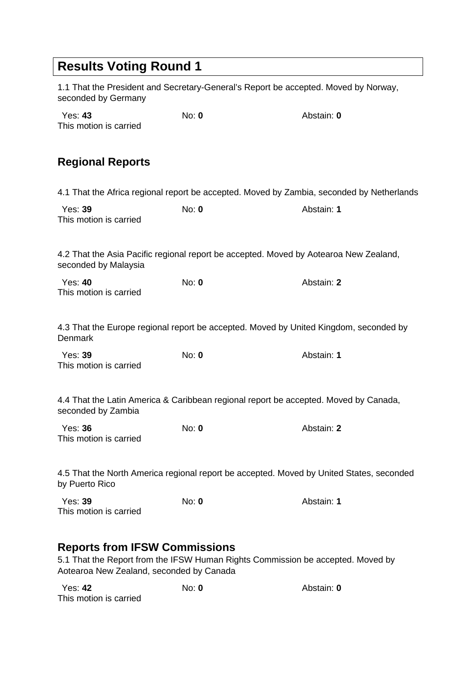## **Results Voting Round 1**

1.1 That the President and Secretary-General's Report be accepted. Moved by Norway, seconded by Germany

| Yes: <b>43</b>         | No: $\mathbf{0}$ | Abstain: 0 |
|------------------------|------------------|------------|
| This motion is carried |                  |            |
|                        |                  |            |

## **Regional Reports**

4.1 That the Africa regional report be accepted. Moved by Zambia, seconded by Netherlands

| Yes: <b>39</b>         | No: 0 | Abstain: 1 |
|------------------------|-------|------------|
| This motion is carried |       |            |

4.2 That the Asia Pacific regional report be accepted. Moved by Aotearoa New Zealand, seconded by Malaysia

| Yes: 40                | No: $\mathbf 0$ | Abstain: <b>2</b> |
|------------------------|-----------------|-------------------|
| This motion is carried |                 |                   |

4.3 That the Europe regional report be accepted. Moved by United Kingdom, seconded by Denmark

| Yes: 39                | No: $\mathbf{0}$ | Abstain: 1 |
|------------------------|------------------|------------|
| This motion is carried |                  |            |

4.4 That the Latin America & Caribbean regional report be accepted. Moved by Canada, seconded by Zambia

| <b>Yes: 36</b>         | No: $\mathbf{0}$ | Abstain: <b>2</b> |
|------------------------|------------------|-------------------|
| This motion is carried |                  |                   |

4.5 That the North America regional report be accepted. Moved by United States, seconded by Puerto Rico

| Yes: 39                | No: 0 | Abstain: 1 |
|------------------------|-------|------------|
| This motion is carried |       |            |

#### **Reports from IFSW Commissions**

5.1 That the Report from the IFSW Human Rights Commission be accepted. Moved by Aotearoa New Zealand, seconded by Canada

| Yes: 42                | No: 0 | Abstain: 0 |
|------------------------|-------|------------|
| This motion is carried |       |            |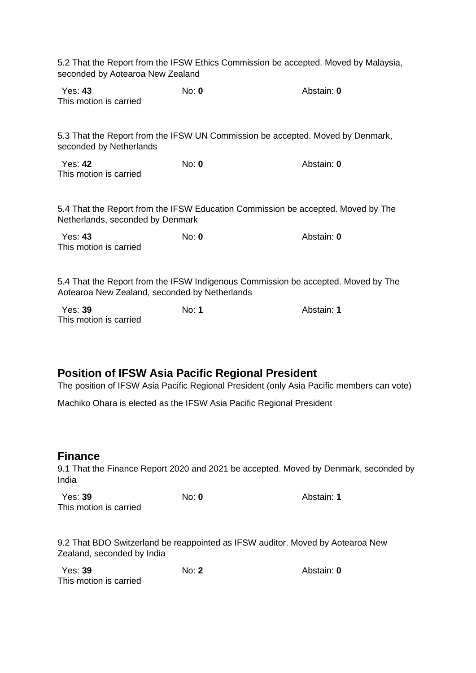| 5.2 That the Report from the IFSW Ethics Commission be accepted. Moved by Malaysia,<br>seconded by Aotearoa New Zealand            |              |            |  |
|------------------------------------------------------------------------------------------------------------------------------------|--------------|------------|--|
| <b>Yes: 43</b><br>This motion is carried                                                                                           | No: 0        | Abstain: 0 |  |
| 5.3 That the Report from the IFSW UN Commission be accepted. Moved by Denmark,<br>seconded by Netherlands                          |              |            |  |
| <b>Yes: 42</b><br>This motion is carried                                                                                           | $No: 0$      | Abstain: 0 |  |
| 5.4 That the Report from the IFSW Education Commission be accepted. Moved by The<br>Netherlands, seconded by Denmark               |              |            |  |
| Yes: 43<br>This motion is carried                                                                                                  | $No: 0$      | Abstain: 0 |  |
| 5.4 That the Report from the IFSW Indigenous Commission be accepted. Moved by The<br>Aotearoa New Zealand, seconded by Netherlands |              |            |  |
| Yes: 39<br>This motion is carried                                                                                                  | No: <b>1</b> | Abstain: 1 |  |

# **Position of IFSW Asia Pacific Regional President**

The position of IFSW Asia Pacific Regional President (only Asia Pacific members can vote)

Machiko Ohara is elected as the IFSW Asia Pacific Regional President

#### **Finance**

9.1 That the Finance Report 2020 and 2021 be accepted. Moved by Denmark, seconded by India

| Yes: 39                | No: $\mathbf{0}$ | Abstain: 1 |
|------------------------|------------------|------------|
| This motion is carried |                  |            |

9.2 That BDO Switzerland be reappointed as IFSW auditor. Moved by Aotearoa New Zealand, seconded by India

| Yes: 39                | No: 2 | Abstain: 0 |
|------------------------|-------|------------|
| This motion is carried |       |            |